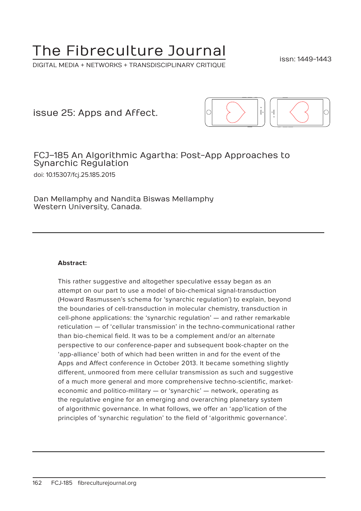# The Fibreculture Journal

DIGITAL MEDIA + NETWORKS + TRANSDISCIPLINARY CRITIQUE

issn: 1449-1443

issue 25: Apps and Affect.



### FCJ–185 An Algorithmic Agartha: Post-App Approaches to Synarchic Regulation doi: 10.15307/fcj.25.185.2015

Dan Mellamphy and Nandita Biswas Mellamphy Western University, Canada.

#### **Abstract:**

This rather suggestive and altogether speculative essay began as an attempt on our part to use a model of bio-chemical signal-transduction (Howard Rasmussen's schema for 'synarchic regulation') to explain, beyond the boundaries of cell-transduction in molecular chemistry, transduction in cell-phone applications: the 'synarchic regulation' — and rather remarkable reticulation — of 'cellular transmission' in the techno-communicational rather than bio-chemical field. It was to be a complement and/or an alternate perspective to our conference-paper and subsequent book-chapter on the 'app-alliance' both of which had been written in and for the event of the Apps and Affect conference in October 2013. It became something slightly different, unmoored from mere cellular transmission as such and suggestive of a much more general and more comprehensive techno-scientific, marketeconomic and politico-military — or 'synarchic' — network, operating as the regulative engine for an emerging and overarching planetary system of algorithmic governance. In what follows, we offer an 'app'lication of the principles of 'synarchic regulation' to the field of 'algorithmic governance'.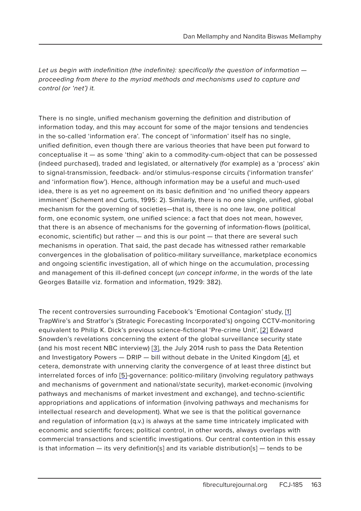Let us begin with indefinition (the indefinite): specifically the question of information  $$ proceeding from there to the myriad methods and mechanisms used to capture and control (or 'net') it.

There is no single, unified mechanism governing the definition and distribution of information today, and this may account for some of the major tensions and tendencies in the so-called 'information era'. The concept of 'information' itself has no single, unified definition, even though there are various theories that have been put forward to conceptualise it — as some 'thing' akin to a commodity-cum-object that can be possessed (indeed purchased), traded and legislated, or alternatively (for example) as a 'process' akin to signal-transmission, feedback- and/or stimulus-response circuits ('information transfer' and 'information flow'). Hence, although information may be a useful and much-used idea, there is as yet no agreement on its basic definition and 'no unified theory appears imminent' (Schement and Curtis, 1995: 2). Similarly, there is no one single, unified, global mechanism for the governing of societies—that is, there is no one law, one political form, one economic system, one unified science: a fact that does not mean, however, that there is an absence of mechanisms for the governing of information-flows (political, economic, scientific) but rather — and this is our point — that there are several such mechanisms in operation. That said, the past decade has witnessed rather remarkable convergences in the globalisation of politico-military surveillance, marketplace economics and ongoing scientific investigation, all of which hinge on the accumulation, processing and management of this ill-defined concept (un concept informe, in the words of the late Georges Bataille viz. formation and information, 1929: 382).

The recent controversies surrounding Facebook's 'Emotional Contagion' study, [1] TrapWire's and Stratfor's (Strategic Forecasting Incorporated's) ongoing CCTV-monitoring equivalent to Philip K. Dick's previous science-fictional 'Pre-crime Unit', [2] Edward Snowden's revelations concerning the extent of the global surveillance security state (and his most recent NBC interview) [3], the July 2014 rush to pass the Data Retention and Investigatory Powers - DRIP - bill without debate in the United Kingdom [4], et cetera, demonstrate with unnerving clarity the convergence of at least three distinct but interrelated forces of info [5]-governance: politico-military (involving regulatory pathways and mechanisms of government and national/state security), market-economic (involving pathways and mechanisms of market investment and exchange), and techno-scientific appropriations and applications of information (involving pathways and mechanisms for intellectual research and development). What we see is that the political governance and regulation of information (q.v.) is always at the same time intricately implicated with economic and scientific forces; political control, in other words, always overlaps with commercial transactions and scientific investigations. Our central contention in this essay is that information  $-$  its very definition[s] and its variable distribution[s]  $-$  tends to be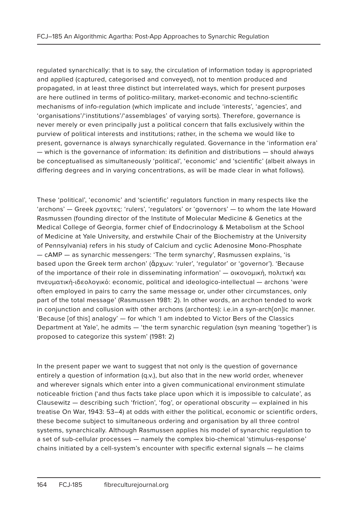regulated synarchically: that is to say, the circulation of information today is appropriated and applied (captured, categorised and conveyed), not to mention produced and propagated, in at least three distinct but interrelated ways, which for present purposes are here outlined in terms of politico-military, market-economic and techno-scientific mechanisms of info-regulation (which implicate and include 'interests', 'agencies', and 'organisations'/'institutions'/'assemblages' of varying sorts). Therefore, governance is never merely or even principally just a political concern that falls exclusively within the purview of political interests and institutions; rather, in the schema we would like to present, governance is always synarchically regulated. Governance in the 'information era' — which is the governance of information: its definition and distributions — should always be conceptualised as simultaneously 'political', 'economic' and 'scientific' (albeit always in differing degrees and in varying concentrations, as will be made clear in what follows).

These 'political', 'economic' and 'scientific' regulators function in many respects like the 'archons' — Greek ρχοντες: 'rulers', 'regulators' or 'governors' — to whom the late Howard Rasmussen (founding director of the Institute of Molecular Medicine & Genetics at the Medical College of Georgia, former chief of Endocrinology & Metabolism at the School of Medicine at Yale University, and erstwhile Chair of the Biochemistry at the University of Pennsylvania) refers in his study of Calcium and cyclic Adenosine Mono-Phosphate — cAMP — as synarchic messengers: 'The term synarchy', Rasmussen explains, 'is based upon the Greek term archon' (ἄρχων: 'ruler', 'regulator' or 'governor'). 'Because of the importance of their role in disseminating information' — οικονομική, πολιτική και πνευματική-ιδεολογικό: economic, political and ideologico-intellectual — archons 'were often employed in pairs to carry the same message or, under other circumstances, only part of the total message' (Rasmussen 1981: 2). In other words, an archon tended to work in conjunction and collusion with other archons (archontes): i.e.in a syn-arch[on]ic manner. 'Because [of this] analogy' — for which 'I am indebted to Victor Bers of the Classics Department at Yale', he admits — 'the term synarchic regulation (syn meaning 'together') is proposed to categorize this system' (1981: 2)

In the present paper we want to suggest that not only is the question of governance entirely a question of information (q.v.), but also that in the new world order, whenever and wherever signals which enter into a given communicational environment stimulate noticeable friction ('and thus facts take place upon which it is impossible to calculate', as Clausewitz — describing such 'friction', 'fog', or operational obscurity — explained in his treatise On War, 1943: 53–4) at odds with either the political, economic or scientific orders, these become subject to simultaneous ordering and organisation by all three control systems, synarchically. Although Rasmussen applies his model of synarchic regulation to a set of sub-cellular processes — namely the complex bio-chemical 'stimulus-response' chains initiated by a cell-system's encounter with specific external signals — he claims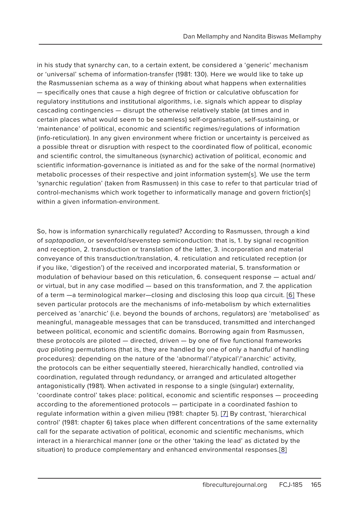in his study that synarchy can, to a certain extent, be considered a 'generic' mechanism or 'universal' schema of information-transfer (1981: 130). Here we would like to take up the Rasmussenian schema as a way of thinking about what happens when externalities — specifically ones that cause a high degree of friction or calculative obfuscation for regulatory institutions and institutional algorithms, i.e. signals which appear to display cascading contingencies — disrupt the otherwise relatively stable (at times and in certain places what would seem to be seamless) self-organisation, self-sustaining, or 'maintenance' of political, economic and scientific regimes/regulations of information (info-reticulation). In any given environment where friction or uncertainty is perceived as a possible threat or disruption with respect to the coordinated flow of political, economic and scientific control, the simultaneous (synarchic) activation of political, economic and scientific information-governance is initiated as and for the sake of the normal (normative) metabolic processes of their respective and joint information system[s]. We use the term 'synarchic regulation' (taken from Rasmussen) in this case to refer to that particular triad of control-mechanisms which work together to informatically manage and govern friction[s] within a given information-environment.

So, how is information synarchically regulated? According to Rasmussen, through a kind of saptapadian, or sevenfold/sevenstep semiconduction: that is, 1. by signal recognition and reception, 2. transduction or translation of the latter, 3. incorporation and material conveyance of this transduction/translation, 4. reticulation and reticulated reception (or if you like, 'digestion') of the received and incorporated material, 5. transformation or modulation of behaviour based on this reticulation, 6. consequent response — actual and/ or virtual, but in any case modified — based on this transformation, and 7. the application of a term —a terminological marker—closing and disclosing this loop qua circuit. [6] These seven particular protocols are the mechanisms of info-metabolism by which externalities perceived as 'anarchic' (i.e. beyond the bounds of archons, regulators) are 'metabolised' as meaningful, manageable messages that can be transduced, transmitted and interchanged between political, economic and scientific domains. Borrowing again from Rasmussen, these protocols are piloted — directed, driven — by one of five functional frameworks qua piloting permutations (that is, they are handled by one of only a handful of handling procedures): depending on the nature of the 'abnormal'/'atypical'/'anarchic' activity, the protocols can be either sequentially steered, hierarchically handled, controlled via coordination, regulated through redundancy, or arranged and articulated altogether antagonistically (1981). When activated in response to a single (singular) externality, 'coordinate control' takes place: political, economic and scientific responses — proceeding according to the aforementioned protocols — participate in a coordinated fashion to regulate information within a given milieu (1981: chapter 5). [7] By contrast, 'hierarchical control' (1981: chapter 6) takes place when different concentrations of the same externality call for the separate activation of political, economic and scientific mechanisms, which interact in a hierarchical manner (one or the other 'taking the lead' as dictated by the situation) to produce complementary and enhanced environmental responses.[8]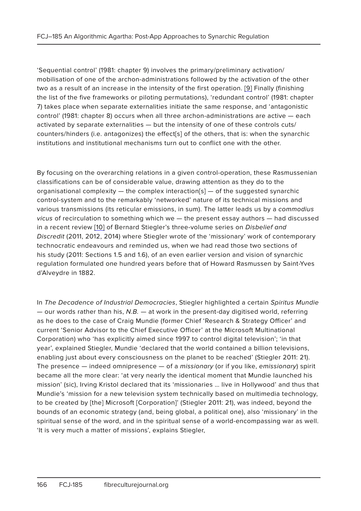'Sequential control' (1981: chapter 9) involves the primary/preliminary activation/ mobilisation of one of the archon-administrations followed by the activation of the other two as a result of an increase in the intensity of the first operation. [9] Finally (finishing the list of the five frameworks or piloting permutations), 'redundant control' (1981: chapter 7) takes place when separate externalities initiate the same response, and 'antagonistic control' (1981: chapter 8) occurs when all three archon-administrations are active — each activated by separate externalities — but the intensity of one of these controls cuts/ counters/hinders (i.e. antagonizes) the effect[s] of the others, that is: when the synarchic institutions and institutional mechanisms turn out to conflict one with the other.

By focusing on the overarching relations in a given control-operation, these Rasmussenian classifications can be of considerable value, drawing attention as they do to the organisational complexity — the complex interaction[s] — of the suggested synarchic control-system and to the remarkably 'networked' nature of its technical missions and various transmissions (its reticular emissions, in sum). The latter leads us by a commodius vicus of recirculation to something which we — the present essay authors — had discussed in a recent review [10] of Bernard Stiegler's three-volume series on Disbelief and Discredit (2011, 2012, 2014) where Stiegler wrote of the 'missionary' work of contemporary technocratic endeavours and reminded us, when we had read those two sections of his study (2011: Sections 1.5 and 1.6), of an even earlier version and vision of synarchic regulation formulated one hundred years before that of Howard Rasmussen by Saint-Yves d'Alveydre in 1882.

In The Decadence of Industrial Democracies, Stiegler highlighted a certain Spiritus Mundie — our words rather than his, N.B. — at work in the present-day digitised world, referring as he does to the case of Craig Mundie (former Chief 'Research & Strategy Officer' and current 'Senior Advisor to the Chief Executive Officer' at the Microsoft Multinational Corporation) who 'has explicitly aimed since 1997 to control digital television'; 'in that year', explained Stiegler, Mundie 'declared that the world contained a billion televisions, enabling just about every consciousness on the planet to be reached' (Stiegler 2011: 21). The presence  $-$  indeed omnipresence  $-$  of a *missionary* (or if you like, *emissionary*) spirit became all the more clear: 'at very nearly the identical moment that Mundie launched his mission' (sic), Irving Kristol declared that its 'missionaries … live in Hollywood' and thus that Mundie's 'mission for a new television system technically based on multimedia technology, to be created by [the] Microsoft [Corporation]' (Stiegler 2011: 21), was indeed, beyond the bounds of an economic strategy (and, being global, a political one), also 'missionary' in the spiritual sense of the word, and in the spiritual sense of a world-encompassing war as well. 'It is very much a matter of missions', explains Stiegler,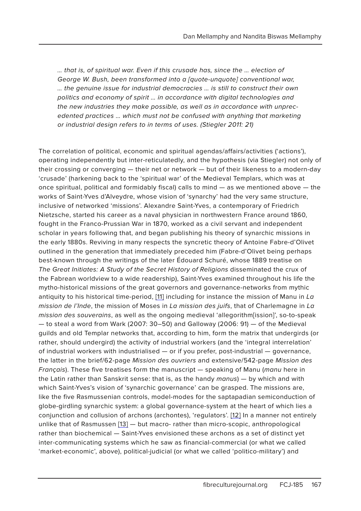… that is, of spiritual war. Even if this crusade has, since the … election of George W. Bush, been transformed into a [quote-unquote] conventional war, … the genuine issue for industrial democracies … is still to construct their own politics and economy of spirit … in accordance with digital technologies and the new industries they make possible, as well as in accordance with unprecedented practices … which must not be confused with anything that marketing or industrial design refers to in terms of uses. (Stiegler 2011: 21)

The correlation of political, economic and spiritual agendas/affairs/activities ('actions'), operating independently but inter-reticulatedly, and the hypothesis (via Stiegler) not only of their crossing or converging — their net or network — but of their likeness to a modern-day 'crusade' (harkening back to the 'spiritual war' of the Medieval Templars, which was at once spiritual, political and formidably fiscal) calls to mind — as we mentioned above — the works of Saint-Yves d'Alveydre, whose vision of 'synarchy' had the very same structure, inclusive of networked 'missions'. Alexandre Saint-Yves, a contemporary of Friedrich Nietzsche, started his career as a naval physician in northwestern France around 1860, fought in the Franco-Prussian War in 1870, worked as a civil servant and independent scholar in years following that, and began publishing his theory of synarchic missions in the early 1880s. Reviving in many respects the syncretic theory of Antoine Fabre-d'Olivet outlined in the generation that immediately preceded him (Fabre-d'Olivet being perhaps best-known through the writings of the later Édouard Schuré, whose 1889 treatise on The Great Initiates: A Study of the Secret History of Religions disseminated the crux of the Fabrean worldview to a wide readership), Saint-Yves examined throughout his life the mytho-historical missions of the great governors and governance-networks from mythic antiquity to his historical time-period, [11] including for instance the mission of Manu in  $La$ mission de l'Inde, the mission of Moses in La mission des juifs, that of Charlemagne in La mission des souverains, as well as the ongoing medieval 'allegorithm[ission]', so-to-speak — to steal a word from Wark (2007: 30–50) and Galloway (2006: 91) — of the Medieval guilds and old Templar networks that, according to him, form the matrix that undergirds (or rather, should undergird) the activity of industrial workers (and the 'integral interrelation' of industrial workers with industrialised — or if you prefer, post-industrial — governance, the latter in the brief/62-page Mission des ouvriers and extensive/542-page Mission des Français). These five treatises form the manuscript — speaking of Manu (manu here in the Latin rather than Sanskrit sense: that is, as the handy manus) — by which and with which Saint-Yves's vision of 'synarchic governance' can be grasped. The missions are, like the five Rasmussenian controls, model-modes for the saptapadian semiconduction of globe-girdling synarchic system: a global governance-system at the heart of which lies a conjunction and collusion of archons (archontes), 'regulators'. [12] In a manner not entirely unlike that of Rasmussen [13] — but macro- rather than micro-scopic, anthropological rather than biochemical — Saint-Yves envisioned these archons as a set of distinct yet inter-communicating systems which he saw as financial-commercial (or what we called 'market-economic', above), political-judicial (or what we called 'politico-military') and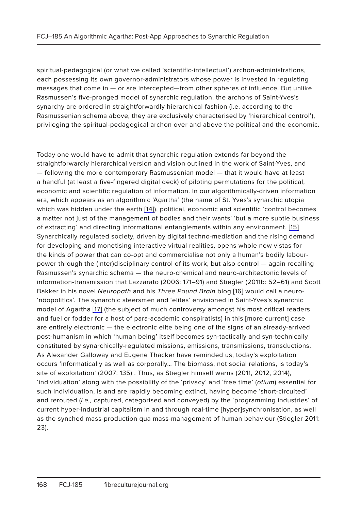spiritual-pedagogical (or what we called 'scientific-intellectual') archon-administrations, each possessing its own governor-administrators whose power is invested in regulating messages that come in — or are intercepted—from other spheres of influence. But unlike Rasmussen's five-pronged model of synarchic regulation, the archons of Saint-Yves's synarchy are ordered in straightforwardly hierarchical fashion (i.e. according to the Rasmussenian schema above, they are exclusively characterised by 'hierarchical control'), privileging the spiritual-pedagogical archon over and above the political and the economic.

Today one would have to admit that synarchic regulation extends far beyond the straightforwardly hierarchical version and vision outlined in the work of Saint-Yves, and — following the more contemporary Rasmussenian model — that it would have at least a handful (at least a five-fingered digital deck) of piloting permutations for the political, economic and scientific regulation of information. In our algorithmically-driven information era, which appears as an algorithmic 'Agartha' (the name of St. Yves's synarchic utopia which was hidden under the earth [14]), political, economic and scientific 'control becomes a matter not just of the management of bodies and their wants' 'but a more subtle business of extracting' and directing informational entanglements within any environment. [15] Synarchically regulated society, driven by digital techno-mediation and the rising demand for developing and monetising interactive virtual realities, opens whole new vistas for the kinds of power that can co-opt and commercialise not only a human's bodily labourpower through the (inter)disciplinary control of its work, but also control — again recalling Rasmussen's synarchic schema — the neuro-chemical and neuro-architectonic levels of information-transmission that Lazzarato (2006: 171–91) and Stiegler (2011b: 52–61) and Scott Bakker in his novel Neuropath and his Three Pound Brain blog [16] would call a neuro-'nöopolitics'. The synarchic steersmen and 'elites' envisioned in Saint-Yves's synarchic model of Agartha [17] (the subject of much controversy amongst his most critical readers and fuel or fodder for a host of para-academic conspiratists) in this [more current] case are entirely electronic — the electronic elite being one of the signs of an already-arrived post-humanism in which 'human being' itself becomes syn-tactically and syn-technically constituted by synarchically-regulated missions, emissions, transmissions, transductions. As Alexander Galloway and Eugene Thacker have reminded us, today's exploitation occurs 'informatically as well as corporally… The biomass, not social relations, is today's site of exploitation' (2007: 135) . Thus, as Stiegler himself warns (2011, 2012, 2014), 'individuation' along with the possibility of the 'privacy' and 'free time' (otium) essential for such individuation, is and are rapidly becoming extinct, having become 'short-circuited' and rerouted (i.e., captured, categorised and conveyed) by the 'programming industries' of current hyper-industrial capitalism in and through real-time [hyper]synchronisation, as well as the synched mass-production qua mass-management of human behaviour (Stiegler 2011: 23).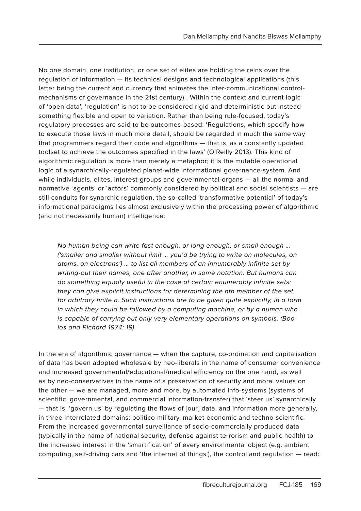No one domain, one institution, or one set of elites are holding the reins over the regulation of information — its technical designs and technological applications (this latter being the current and currency that animates the inter-communicational controlmechanisms of governance in the 21st century) . Within the context and current logic of 'open data', 'regulation' is not to be considered rigid and deterministic but instead something flexible and open to variation. Rather than being rule-focused, today's regulatory processes are said to be outcomes-based: 'Regulations, which specify how to execute those laws in much more detail, should be regarded in much the same way that programmers regard their code and algorithms — that is, as a constantly updated toolset to achieve the outcomes specified in the laws' (O'Reilly 2013). This kind of algorithmic regulation is more than merely a metaphor; it is the mutable operational logic of a synarchically-regulated planet-wide informational governance-system. And while individuals, elites, interest-groups and governmental-organs — all the normal and normative 'agents' or 'actors' commonly considered by political and social scientists — are still conduits for synarchic regulation, the so-called 'transformative potential' of today's informational paradigms lies almost exclusively within the processing power of algorithmic (and not necessarily human) intelligence:

No human being can write fast enough, or long enough, or small enough … ('smaller and smaller without limit … you'd be trying to write on molecules, on atoms, on electrons') … to list all members of an innumerably infinite set by writing-out their names, one after another, in some notation. But humans can do something equally useful in the case of certain enumerably infinite sets: they can give explicit instructions for determining the nth member of the set, for arbitrary finite n. Such instructions are to be given quite explicitly, in a form in which they could be followed by a computing machine, or by a human who is capable of carrying out only very elementary operations on symbols. (Boolos and Richard 1974: 19)

In the era of algorithmic governance — when the capture, co-ordination and capitalisation of data has been adopted wholesale by neo-liberals in the name of consumer convenience and increased governmental/educational/medical efficiency on the one hand, as well as by neo-conservatives in the name of a preservation of security and moral values on the other — we are managed, more and more, by automated info-systems (systems of scientific, governmental, and commercial information-transfer) that 'steer us' synarchically — that is, 'govern us' by regulating the flows of [our] data, and information more generally, in three interrelated domains: politico-military, market-economic and techno-scientific. From the increased governmental surveillance of socio-commercially produced data (typically in the name of national security, defense against terrorism and public health) to the increased interest in the 'smartification' of every environmental object (e.g. ambient computing, self-driving cars and 'the internet of things'), the control and regulation — read: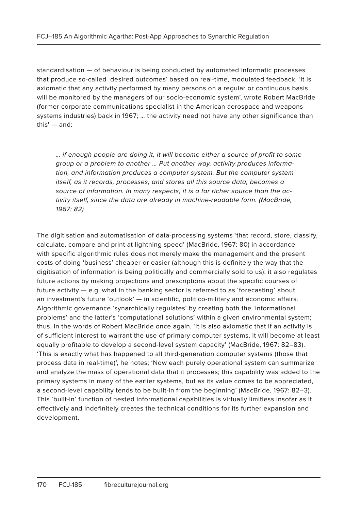standardisation — of behaviour is being conducted by automated informatic processes that produce so-called 'desired outcomes' based on real-time, modulated feedback. 'It is axiomatic that any activity performed by many persons on a regular or continuous basis will be monitored by the managers of our socio-economic system', wrote Robert MacBride (former corporate communications specialist in the American aerospace and weaponssystems industries) back in 1967; … the activity need not have any other significance than this' — and:

… if enough people are doing it, it will become either a source of profit to some group or a problem to another … Put another way, activity produces information, and information produces a computer system. But the computer system itself, as it records, processes, and stores all this source data, becomes a source of information. In many respects, it is a far richer source than the activity itself, since the data are already in machine-readable form. (MacBride, 1967: 82)

The digitisation and automatisation of data-processing systems 'that record, store, classify, calculate, compare and print at lightning speed' (MacBride, 1967: 80) in accordance with specific algorithmic rules does not merely make the management and the present costs of doing 'business' cheaper or easier (although this is definitely the way that the digitisation of information is being politically and commercially sold to us): it also regulates future actions by making projections and prescriptions about the specific courses of future activity — e.g. what in the banking sector is referred to as 'forecasting' about an investment's future 'outlook' — in scientific, politico-military and economic affairs. Algorithmic governance 'synarchically regulates' by creating both the 'informational problems' and the latter's 'computational solutions' within a given environmental system; thus, in the words of Robert MacBride once again, 'it is also axiomatic that if an activity is of sufficient interest to warrant the use of primary computer systems, it will become at least equally profitable to develop a second-level system capacity' (MacBride, 1967: 82–83). 'This is exactly what has happened to all third-generation computer systems (those that process data in real-time)', he notes; 'Now each purely operational system can summarize and analyze the mass of operational data that it processes; this capability was added to the primary systems in many of the earlier systems, but as its value comes to be appreciated, a second-level capability tends to be built-in from the beginning' (MacBride, 1967: 82–3). This 'built-in' function of nested informational capabilities is virtually limitless insofar as it effectively and indefinitely creates the technical conditions for its further expansion and development.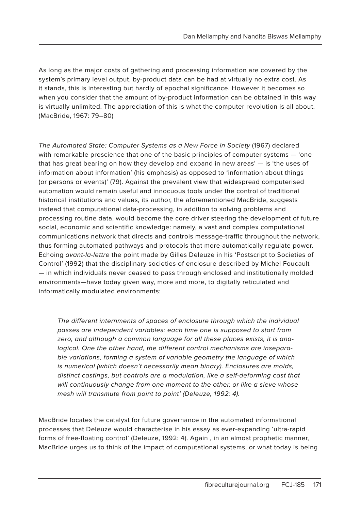As long as the major costs of gathering and processing information are covered by the system's primary level output, by-product data can be had at virtually no extra cost. As it stands, this is interesting but hardly of epochal significance. However it becomes so when you consider that the amount of by-product information can be obtained in this way is virtually unlimited. The appreciation of this is what the computer revolution is all about. (MacBride, 1967: 79–80)

The Automated State: Computer Systems as a New Force in Society (1967) declared with remarkable prescience that one of the basic principles of computer systems — 'one that has great bearing on how they develop and expand in new areas' — is 'the uses of information about information' (his emphasis) as opposed to 'information about things (or persons or events)' (79). Against the prevalent view that widespread computerised automation would remain useful and innocuous tools under the control of traditional historical institutions and values, its author, the aforementioned MacBride, suggests instead that computational data-processing, in addition to solving problems and processing routine data, would become the core driver steering the development of future social, economic and scientific knowledge: namely, a vast and complex computational communications network that directs and controls message-traffic throughout the network, thus forming automated pathways and protocols that more automatically regulate power. Echoing avant-la-lettre the point made by Gilles Deleuze in his 'Postscript to Societies of Control' (1992) that the disciplinary societies of enclosure described by Michel Foucault — in which individuals never ceased to pass through enclosed and institutionally molded environments—have today given way, more and more, to digitally reticulated and informatically modulated environments:

The different internments of spaces of enclosure through which the individual passes are independent variables: each time one is supposed to start from zero, and although a common language for all these places exists, it is analogical. One the other hand, the different control mechanisms are inseparable variations, forming a system of variable geometry the language of which is numerical (which doesn't necessarily mean binary). Enclosures are molds, distinct castings, but controls are a modulation, like a self-deforming cast that will continuously change from one moment to the other, or like a sieve whose mesh will transmute from point to point' (Deleuze, 1992: 4).

MacBride locates the catalyst for future governance in the automated informational processes that Deleuze would characterise in his essay as ever-expanding 'ultra-rapid forms of free-floating control' (Deleuze, 1992: 4). Again , in an almost prophetic manner, MacBride urges us to think of the impact of computational systems, or what today is being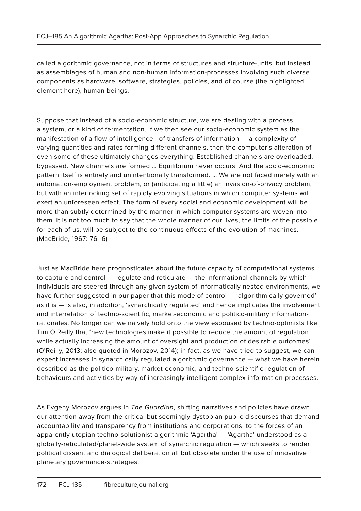called algorithmic governance, not in terms of structures and structure-units, but instead as assemblages of human and non-human information-processes involving such diverse components as hardware, software, strategies, policies, and of course (the highlighted element here), human beings.

Suppose that instead of a socio-economic structure, we are dealing with a process, a system, or a kind of fermentation. If we then see our socio-economic system as the manifestation of a flow of intelligence—of transfers of information — a complexity of varying quantities and rates forming different channels, then the computer's alteration of even some of these ultimately changes everything. Established channels are overloaded, bypassed. New channels are formed … Equilibrium never occurs. And the socio-economic pattern itself is entirely and unintentionally transformed. … We are not faced merely with an automation-employment problem, or (anticipating a little) an invasion-of-privacy problem, but with an interlocking set of rapidly evolving situations in which computer systems will exert an unforeseen effect. The form of every social and economic development will be more than subtly determined by the manner in which computer systems are woven into them. It is not too much to say that the whole manner of our lives, the limits of the possible for each of us, will be subject to the continuous effects of the evolution of machines. (MacBride, 1967: 76–6)

Just as MacBride here prognosticates about the future capacity of computational systems to capture and control — regulate and reticulate — the informational channels by which individuals are steered through any given system of informatically nested environments, we have further suggested in our paper that this mode of control — 'algorithmically governed' as it is — is also, in addition, 'synarchically regulated' and hence implicates the involvement and interrelation of techno-scientific, market-economic and politico-military informationrationales. No longer can we naïvely hold onto the view espoused by techno-optimists like Tim O'Reilly that 'new technologies make it possible to reduce the amount of regulation while actually increasing the amount of oversight and production of desirable outcomes' (O'Reilly, 2013; also quoted in Morozov, 2014); in fact, as we have tried to suggest, we can expect increases in synarchically regulated algorithmic governance — what we have herein described as the politico-military, market-economic, and techno-scientific regulation of behaviours and activities by way of increasingly intelligent complex information-processes.

As Evgeny Morozov argues in The Guardian, shifting narratives and policies have drawn our attention away from the critical but seemingly dystopian public discourses that demand accountability and transparency from institutions and corporations, to the forces of an apparently utopian techno-solutionist algorithmic 'Agartha' — 'Agartha' understood as a globally-reticulated/planet-wide system of synarchic regulation — which seeks to render political dissent and dialogical deliberation all but obsolete under the use of innovative planetary governance-strategies: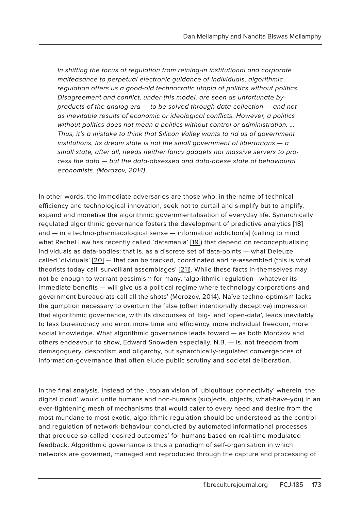In shifting the focus of regulation from reining-in institutional and corporate malfeasance to perpetual electronic guidance of individuals, algorithmic regulation offers us a good-old technocratic utopia of politics without politics. Disagreement and conflict, under this model, are seen as unfortunate byproducts of the analog era — to be solved through data-collection — and not as inevitable results of economic or ideological conflicts. However, a politics without politics does not mean a politics without control or administration. ... Thus, it's a mistake to think that Silicon Valley wants to rid us of government institutions. Its dream state is not the small government of libertarians  $-\alpha$ small state, after all, needs neither fancy gadgets nor massive servers to process the data — but the data-obsessed and data-obese state of behavioural economists. (Morozov, 2014)

In other words, the immediate adversaries are those who, in the name of technical efficiency and technological innovation, seek not to curtail and simplify but to amplify, expand and monetise the algorithmic governmentalisation of everyday life. Synarchically regulated algorithmic governance fosters the development of predictive analytics [18] and — in a techno-pharmacological sense — information addiction[s] (calling to mind what Rachel Law has recently called 'datamania' [19]) that depend on reconceptualising individuals as data-bodies: that is, as a discrete set of data-points — what Deleuze called 'dividuals' [20] — that can be tracked, coordinated and re-assembled (this is what theorists today call 'surveillant assemblages' [21]). While these facts in-themselves may not be enough to warrant pessimism for many, 'algorithmic regulation—whatever its immediate benefits — will give us a political regime where technology corporations and government bureaucrats call all the shots' (Morozov, 2014). Naïve techno-optimism lacks the gumption necessary to overturn the false (often intentionally deceptive) impression that algorithmic governance, with its discourses of 'big-' and 'open-data', leads inevitably to less bureaucracy and error, more time and efficiency, more individual freedom, more social knowledge. What algorithmic governance leads toward — as both Morozov and others endeavour to show, Edward Snowden especially, N.B. — is, not freedom from demagoguery, despotism and oligarchy, but synarchically-regulated convergences of information-governance that often elude public scrutiny and societal deliberation.

In the final analysis, instead of the utopian vision of 'ubiquitous connectivity' wherein 'the digital cloud' would unite humans and non-humans (subjects, objects, what-have-you) in an ever-tightening mesh of mechanisms that would cater to every need and desire from the most mundane to most exotic, algorithmic regulation should be understood as the control and regulation of network-behaviour conducted by automated informational processes that produce so-called 'desired outcomes' for humans based on real-time modulated feedback. Algorithmic governance is thus a paradigm of self-organisation in which networks are governed, managed and reproduced through the capture and processing of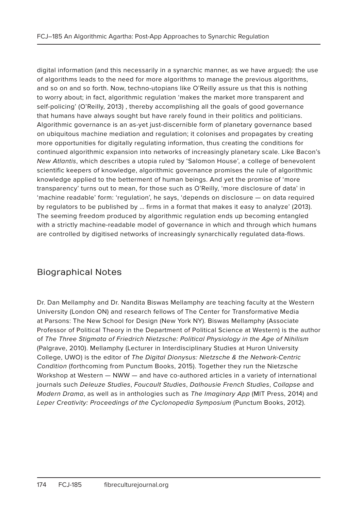digital information (and this necessarily in a synarchic manner, as we have argued): the use of algorithms leads to the need for more algorithms to manage the previous algorithms, and so on and so forth. Now, techno-utopians like O'Reilly assure us that this is nothing to worry about; in fact, algorithmic regulation 'makes the market more transparent and self-policing' (O'Reilly, 2013) , thereby accomplishing all the goals of good governance that humans have always sought but have rarely found in their politics and politicians. Algorithmic governance is an as-yet just-discernible form of planetary governance based on ubiquitous machine mediation and regulation; it colonises and propagates by creating more opportunities for digitally regulating information, thus creating the conditions for continued algorithmic expansion into networks of increasingly planetary scale. Like Bacon's New Atlantis, which describes a utopia ruled by 'Salomon House', a college of benevolent scientific keepers of knowledge, algorithmic governance promises the rule of algorithmic knowledge applied to the betterment of human beings. And yet the promise of 'more transparency' turns out to mean, for those such as O'Reilly, 'more disclosure of data' in 'machine readable' form: 'regulation', he says, 'depends on disclosure — on data required by regulators to be published by … firms in a format that makes it easy to analyze' (2013). The seeming freedom produced by algorithmic regulation ends up becoming entangled with a strictly machine-readable model of governance in which and through which humans are controlled by digitised networks of increasingly synarchically regulated data-flows.

# Biographical Notes

Dr. Dan Mellamphy and Dr. Nandita Biswas Mellamphy are teaching faculty at the Western University (London ON) and research fellows of The Center for Transformative Media at Parsons: The New School for Design (New York NY). Biswas Mellamphy (Associate Professor of Political Theory in the Department of Political Science at Western) is the author of The Three Stigmata of Friedrich Nietzsche: Political Physiology in the Age of Nihilism (Palgrave, 2010). Mellamphy (Lecturer in Interdisciplinary Studies at Huron University College, UWO) is the editor of The Digital Dionysus: Nietzsche & the Network-Centric Condition (forthcoming from Punctum Books, 2015). Together they run the Nietzsche Workshop at Western — NWW — and have co-authored articles in a variety of international journals such Deleuze Studies, Foucault Studies, Dalhousie French Studies, Collapse and Modern Drama, as well as in anthologies such as The Imaginary App (MIT Press, 2014) and Leper Creativity: Proceedings of the Cyclonopedia Symposium (Punctum Books, 2012).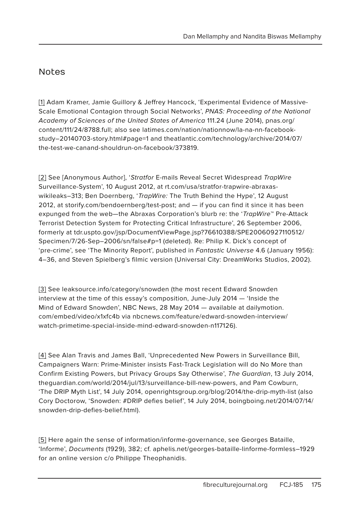## Notes

[1] Adam Kramer, Jamie Guillory & Jeffrey Hancock, 'Experimental Evidence of Massive-Scale Emotional Contagion through Social Networks', PNAS: Proceeding of the National Academy of Sciences of the United States of America 111.24 (June 2014), pnas.org/ content/111/24/8788.full; also see latimes.com/nation/nationnow/la-na-nn-facebookstudy–20140703-story.html#page=1 and theatlantic.com/technology/archive/2014/07/ the-test-we-canand-shouldrun-on-facebook/373819.

[2] See [Anonymous Author], 'Stratfor E-mails Reveal Secret Widespread TrapWire Surveillance-System', 10 August 2012, at rt.com/usa/stratfor-trapwire-abraxaswikileaks–313; Ben Doernberg, 'TrapWire: The Truth Behind the Hype', 12 August 2012, at storify.com/bendoernberg/test-post; and — if you can find it since it has been expunged from the web—the Abraxas Corporation's blurb re: the 'TrapWire™ Pre-Attack Terrorist Detection System for Protecting Critical Infrastructure', 26 September 2006, formerly at tdr.uspto.gov/jsp/DocumentViewPage.jsp?76610388/SPE20060927110512/ Specimen/7/26-Sep–2006/sn/false#p=1 (deleted). Re: Philip K. Dick's concept of 'pre-crime', see 'The Minority Report', published in Fantastic Universe 4.6 (January 1956): 4–36, and Steven Spielberg's filmic version (Universal City: DreamWorks Studios, 2002).

[3] See leaksource.info/category/snowden (the most recent Edward Snowden interview at the time of this essay's composition, June-July 2014 — 'Inside the Mind of Edward Snowden', NBC News, 28 May 2014 — available at dailymotion. com/embed/video/x1xfc4b via nbcnews.com/feature/edward-snowden-interview/ watch-primetime-special-inside-mind-edward-snowden-n117126).

[4] See Alan Travis and James Ball, 'Unprecedented New Powers in Surveillance Bill, Campaigners Warn: Prime-Minister insists Fast-Track Legislation will do No More than Confirm Existing Powers, but Privacy Groups Say Otherwise', The Guardian, 13 July 2014, theguardian.com/world/2014/jul/13/surveillance-bill-new-powers, and Pam Cowburn, 'The DRIP Myth List', 14 July 2014, openrightsgroup.org/blog/2014/the-drip-myth-list (also Cory Doctorow, 'Snowden: #DRIP defies belief', 14 July 2014, boingboing.net/2014/07/14/ snowden-drip-defies-belief.html).

[5] Here again the sense of information/informe-governance, see Georges Bataille, 'Informe', Documents (1929), 382; cf. aphelis.net/georges-bataille-linforme-formless–1929 for an online version c/o Philippe Theophanidis.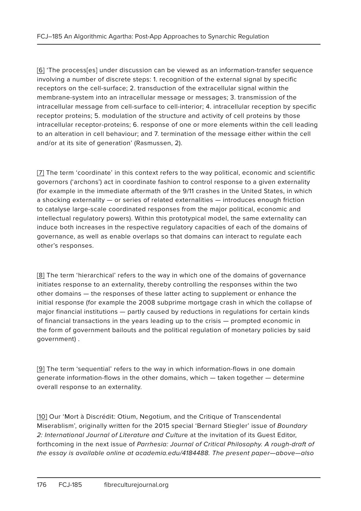[6] 'The process[es] under discussion can be viewed as an information-transfer sequence involving a number of discrete steps: 1. recognition of the external signal by specific receptors on the cell-surface; 2. transduction of the extracellular signal within the membrane-system into an intracellular message or messages; 3. transmission of the intracellular message from cell-surface to cell-interior; 4. intracellular reception by specific receptor proteins; 5. modulation of the structure and activity of cell proteins by those intracellular receptor-proteins; 6. response of one or more elements within the cell leading to an alteration in cell behaviour; and 7. termination of the message either within the cell and/or at its site of generation' (Rasmussen, 2).

[7] The term 'coordinate' in this context refers to the way political, economic and scientific governors ('archons') act in coordinate fashion to control response to a given externality (for example in the immediate aftermath of the 9/11 crashes in the United States, in which a shocking externality — or series of related externalities — introduces enough friction to catalyse large-scale coordinated responses from the major political, economic and intellectual regulatory powers). Within this prototypical model, the same externality can induce both increases in the respective regulatory capacities of each of the domains of governance, as well as enable overlaps so that domains can interact to regulate each other's responses.

[8] The term 'hierarchical' refers to the way in which one of the domains of governance initiates response to an externality, thereby controlling the responses within the two other domains — the responses of these latter acting to supplement or enhance the initial response (for example the 2008 subprime mortgage crash in which the collapse of major financial institutions — partly caused by reductions in regulations for certain kinds of financial transactions in the years leading up to the crisis — prompted economic in the form of government bailouts and the political regulation of monetary policies by said government) .

[9] The term 'sequential' refers to the way in which information-flows in one domain generate information-flows in the other domains, which — taken together — determine overall response to an externality.

[10] Our 'Mort à Discrédit: Otium, Negotium, and the Critique of Transcendental Miserablism', originally written for the 2015 special 'Bernard Stiegler' issue of Boundary 2: International Journal of Literature and Culture at the invitation of its Guest Editor, forthcoming in the next issue of Parrhesia: Journal of Critical Philosophy. A rough-draft of the essay is available online at academia.edu/4184488. The present paper—above—also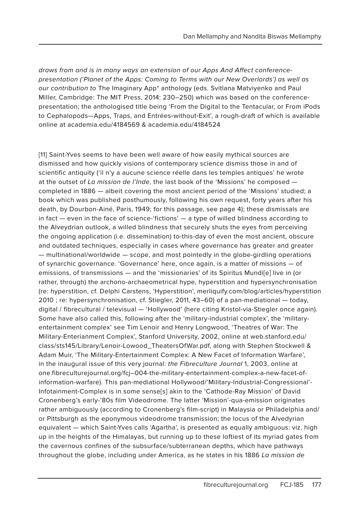draws from and is in many ways an extension of our Apps And Affect conferencepresentation ('Planet of the Apps: Coming to Terms with our New Overlords') as well as our contribution to The Imaginary App\* anthology (eds. Svitlana Matviyenko and Paul Miller, Cambridge: The MIT Press, 2014: 230–250) which was based on the conferencepresentation; the anthologised title being 'From the Digital to the Tentacular, or From iPods to Cephalopods—Apps, Traps, and Entrées‐without‐Exit', a rough-draft of which is available online at academia.edu/4184569 & academia.edu/4184524

[11] Saint-Yves seems to have been well aware of how easily mythical sources are dismissed and how quickly visions of contemporary science dismiss those in and of scientific antiquity ('il n'y a aucune science réelle dans les temples antiques' he wrote at the outset of La mission de l'Inde, the last book of the 'Missions' he composed  $$ completed in 1886 — albeit covering the most ancient period of the 'Missions' studied; a book which was published posthumously, following his own request, forty years after his death, by Dourbon-Ainé, Paris, 1949; for this passage, see page 4); these dismissals are in fact — even in the face of science-'fictions' — a type of willed blindness according to the Alveydrian outlook, a willed blindness that securely shuts the eyes from perceiving the ongoing application (i.e. dissemination) to-this-day of even the most ancient, obscure and outdated techniques, especially in cases where governance has greater and greater — multinational/worldwide — scope, and most pointedly in the globe-girdling operations of synarchic governance. 'Governance' here, once again, is a matter of missions — of emissions, of transmissions — and the 'missionaries' of its Spiritus Mundi[e] live in (or rather, through) the archono-archaeometrical hype, hyperstition and hypersynchronisation (re: hyperstition, cf. Delphi Carstens, 'Hyperstition', merliquify.com/blog/articles/hyperstition 2010 ; re: hypersynchronisation, cf. Stiegler, 2011, 43–60) of a pan-mediational — today, digital / fibrecultural / televisual — 'Hollywood' (here citing Kristol-via-Stiegler once again). Some have also called this, following after the 'military-industrial complex', the 'militaryentertainment complex' see Tim Lenoir and Henry Longwood, 'Theatres of War: The Military-Enterianment Complex', Stanford University, 2002, online at web.stanford.edu/ class/sts145/Library/Lenoir-Lowood\_TheatersOfWar.pdf, along with Stephen Stockwell & Adam Muir, 'The Military-Entertainment Complex: A New Facet of Information Warfare', in the inaugural issue of this very journal: the Fibreculture Journal 1, 2003, online at one.fibreculturejournal.org/fcj–004-the-military-entertainment-complex-a-new-facet-ofinformation-warfare). This pan-mediational Hollywood/'Military-Industrial-Congressional'- Infotainment-Complex is in some sense[s] akin to the 'Cathode-Ray Mission' of David Cronenberg's early-'80s film Videodrome. The latter 'Mission'-qua-emission originates rather ambiguously (according to Cronenberg's film-script) in Malaysia or Philadelphia and/ or Pittsburgh as the eponymous videodrome transmission; the locus of the Alvedyrian equivalent — which Saint-Yves calls 'Agartha', is presented as equally ambiguous: viz. high up in the heights of the Himalayas, but running up to these loftiest of its myriad gates from the cavernous confines of the subsurface/subterranean depths, which have pathways throughout the globe, including under America, as he states in his 1886 La mission de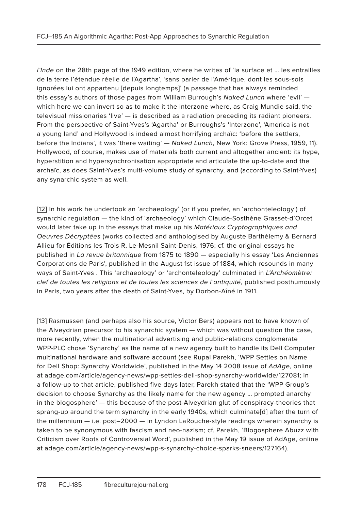l'Inde on the 28th page of the 1949 edition, where he writes of 'la surface et … les entrailles de la terre l'étendue réelle de l'Agartha', 'sans parler de l'Amérique, dont les sous-sols ignorées lui ont appartenu [depuis longtemps]' (a passage that has always reminded this essay's authors of those pages from William Burrough's Naked Lunch where 'evil' which here we can invert so as to make it the interzone where, as Craig Mundie said, the televisual missionaries 'live' — is described as a radiation preceding its radiant pioneers. From the perspective of Saint-Yves's 'Agartha' or Burroughs's 'Interzone', 'America is not a young land' and Hollywood is indeed almost horrifying archaïc: 'before the settlers, before the Indians', it was 'there waiting' — Naked Lunch, New York: Grove Press, 1959, 11). Hollywood, of course, makes use of materials both current and altogether ancient: its hype, hyperstition and hypersynchronisation appropriate and articulate the up-to-date and the archaïc, as does Saint-Yves's multi-volume study of synarchy, and (according to Saint-Yves) any synarchic system as well.

[12] In his work he undertook an 'archaeology' (or if you prefer, an 'archonteleology') of synarchic regulation — the kind of 'archaeology' which Claude-Sosthène Grasset-d'Orcet would later take up in the essays that make up his Matériaux Cryptographiques and Oeuvres Décryptées (works collected and anthologised by Auguste Barthélemy & Bernard Allieu for Éditions les Trois R, Le-Mesnil Saint-Denis, 1976; cf. the original essays he published in La revue britannique from 1875 to 1890 — especially his essay 'Les Anciennes Corporations de Paris', published in the August 1st issue of 1884, which resounds in many ways of Saint-Yves. This 'archaeology' or 'archonteleology' culminated in L'Archéomètre: clef de toutes les religions et de toutes les sciences de l'antiquité, published posthumously in Paris, two years after the death of Saint-Yves, by Dorbon-Aîné in 1911.

[13] Rasmussen (and perhaps also his source, Victor Bers) appears not to have known of the Alveydrian precursor to his synarchic system — which was without question the case, more recently, when the multinational advertising and public-relations conglomerate WPP-PLC chose 'Synarchy' as the name of a new agency built to handle its Dell Computer multinational hardware and software account (see Rupal Parekh, 'WPP Settles on Name for Dell Shop: Synarchy Worldwide', published in the May 14 2008 issue of AdAge, online at adage.com/article/agency-news/wpp-settles-dell-shop-synarchy-worldwide/127081; in a follow-up to that article, published five days later, Parekh stated that the 'WPP Group's decision to choose Synarchy as the likely name for the new agency … prompted anarchy in the blogosphere' — this because of the post-Alveydrian glut of conspiracy-theories that sprang-up around the term synarchy in the early 1940s, which culminate[d] after the turn of the millennium — i.e. post–2000 — in Lyndon LaRouche-style readings wherein synarchy is taken to be synonymous with fascism and neo-nazism; cf. Parekh, 'Blogosphere Abuzz with Criticism over Roots of Controversial Word', published in the May 19 issue of AdAge, online at adage.com/article/agency-news/wpp-s-synarchy-choice-sparks-sneers/127164).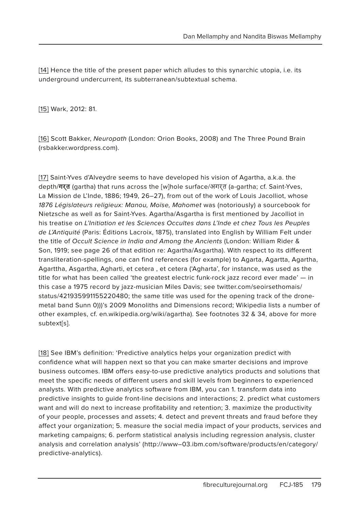[14] Hence the title of the present paper which alludes to this synarchic utopia, i.e. its underground undercurrent, its subterranean/subtextual schema.

[15] Wark, 2012: 81.

[16] Scott Bakker, Neuropath (London: Orion Books, 2008) and The Three Pound Brain (rsbakker.wordpress.com).

[17] Saint-Yves d'Alveydre seems to have developed his vision of Agartha, a.k.a. the depth/**गर्त** (gartha) that runs across the [w]hole surface/अगर्त (a-gartha; cf. Saint-Yves, La Mission de L'Inde, 1886; 1949, 26–27), from out of the work of Louis Jacolliot, whose 1876 Législateurs religieux: Manou, Moïse, Mahomet was (notoriously) a sourcebook for Nietzsche as well as for Saint-Yves. Agartha/Asgartha is first mentioned by Jacolliot in his treatise on L'Initiation et les Sciences Occultes dans L'Inde et chez Tous les Peuples de L'Antiquité (Paris: Éditions Lacroix, 1875), translated into English by William Felt under the title of Occult Science in India and Among the Ancients (London: William Rider & Son, 1919; see page 26 of that edition re: Agartha/Asgartha). With respect to its different transliteration-spellings, one can find references (for example) to Agarta, Agartta, Agartha, Agarttha, Asgartha, Agharti, et cetera , et cetera ('Agharta', for instance, was used as the title for what has been called 'the greatest electric funk-rock jazz record ever made' — in this case a 1975 record by jazz-musician Miles Davis; see twitter.com/seoirsethomais/ status/421935991155220480; the same title was used for the opening track of the dronemetal band Sunn 0)))'s 2009 Monoliths and Dimensions record; Wikipedia lists a number of other examples, cf. en.wikipedia.org/wiki/agartha). See footnotes 32 & 34, above for more subtext[s].

[18] See IBM's definition: 'Predictive analytics helps your organization predict with confidence what will happen next so that you can make smarter decisions and improve business outcomes. IBM offers easy-to-use predictive analytics products and solutions that meet the specific needs of different users and skill levels from beginners to experienced analysts. With predictive analytics software from IBM, you can 1. transform data into predictive insights to guide front-line decisions and interactions; 2. predict what customers want and will do next to increase profitability and retention; 3. maximize the productivity of your people, processes and assets; 4. detect and prevent threats and fraud before they affect your organization; 5. measure the social media impact of your products, services and marketing campaigns; 6. perform statistical analysis including regression analysis, cluster analysis and correlation analysis' (http://www–03.ibm.com/software/products/en/category/ predictive-analytics).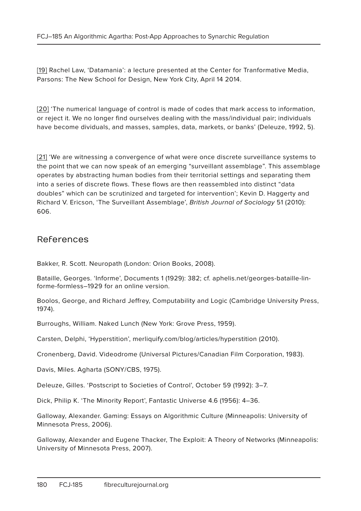[19] Rachel Law, 'Datamania': a lecture presented at the Center for Tranformative Media, Parsons: The New School for Design, New York City, April 14 2014.

[20] 'The numerical language of control is made of codes that mark access to information, or reject it. We no longer find ourselves dealing with the mass/individual pair; individuals have become dividuals, and masses, samples, data, markets, or banks' (Deleuze, 1992, 5).

[21] 'We are witnessing a convergence of what were once discrete surveillance systems to the point that we can now speak of an emerging "surveillant assemblage". This assemblage operates by abstracting human bodies from their territorial settings and separating them into a series of discrete flows. These flows are then reassembled into distinct "data doubles" which can be scrutinized and targeted for intervention'; Kevin D. Haggerty and Richard V. Ericson, 'The Surveillant Assemblage', British Journal of Sociology 51 (2010): 606.

### References

Bakker, R. Scott. Neuropath (London: Orion Books, 2008).

Bataille, Georges. 'Informe', Documents 1 (1929): 382; cf. aphelis.net/georges-bataille-linforme-formless–1929 for an online version.

Boolos, George, and Richard Jeffrey, Computability and Logic (Cambridge University Press, 1974).

Burroughs, William. Naked Lunch (New York: Grove Press, 1959).

Carsten, Delphi, 'Hyperstition', merliquify.com/blog/articles/hyperstition (2010).

Cronenberg, David. Videodrome (Universal Pictures/Canadian Film Corporation, 1983).

Davis, Miles. Agharta (SONY/CBS, 1975).

Deleuze, Gilles. 'Postscript to Societies of Control', October 59 (1992): 3–7.

Dick, Philip K. 'The Minority Report', Fantastic Universe 4.6 (1956): 4–36.

Galloway, Alexander. Gaming: Essays on Algorithmic Culture (Minneapolis: University of Minnesota Press, 2006).

Galloway, Alexander and Eugene Thacker, The Exploit: A Theory of Networks (Minneapolis: University of Minnesota Press, 2007).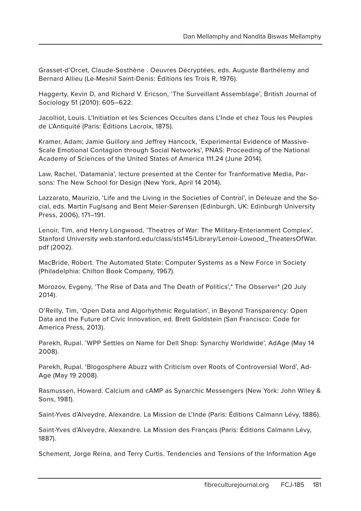Grasset-d'Orcet, Claude-Sosthène . Oeuvres Décryptées, eds. Auguste Barthélemy and Bernard Allieu (Le-Mesnil Saint-Denis: Éditions les Trois R, 1976).

Haggerty, Kevin D, and Richard V. Ericson, 'The Surveillant Assemblage', British Journal of Sociology 51 (2010): 605–622.

Jacolliot, Louis. L'Initiation et les Sciences Occultes dans L'Inde et chez Tous les Peuples de L'Antiquité (Paris: Éditions Lacroix, 1875).

Kramer, Adam; Jamie Guillory and Jeffrey Hancock, 'Experimental Evidence of Massive-Scale Emotional Contagion through Social Networks', PNAS: Proceeding of the National Academy of Sciences of the United States of America 111.24 (June 2014).

Law, Rachel, 'Datamania', lecture presented at the Center for Tranformative Media, Parsons: The New School for Design (New York, April 14 2014).

Lazzarato, Maurizio, 'Life and the Living in the Societies of Control', in Deleuze and the Social, eds. Martin Fuglsang and Bent Meier-Sørensen (Edinburgh, UK: Edinburgh University Press, 2006), 171–191.

Lenoir, Tim, and Henry Longwood, 'Theatres of War: The Military-Enterianment Complex', Stanford University web.stanford.edu/class/sts145/Library/Lenoir-Lowood\_TheatersOfWar. pdf (2002).

MacBride, Robert. The Automated State: Computer Systems as a New Force in Society (Philadelphia: Chilton Book Company, 1967).

Morozov, Evgeny, 'The Rise of Data and The Death of Politics',\* The Observer\* (20 July 2014).

O'Reilly, Tim, 'Open Data and Algorhythmic Regulation', in Beyond Transparency: Open Data and the Future of Civic Innovation, ed. Brett Goldstein (San Francisco: Code for America Press, 2013).

Parekh, Rupal. 'WPP Settles on Name for Dell Shop: Synarchy Worldwide', AdAge (May 14 2008).

Parekh, Rupal. 'Blogosphere Abuzz with Criticism over Roots of Controversial Word', Ad-Age (May 19 2008).

Rasmussen, Howard. Calcium and cAMP as Synarchic Messengers (New York: John Wiley & Sons, 1981).

Saint-Yves d'Alveydre, Alexandre. La Mission de L'Inde (Paris: Éditions Calmann Lévy, 1886).

Saint-Yves d'Alveydre, Alexandre. La Mission des Français (Paris: Éditions Calmann Lévy, 1887).

Schement, Jorge Reina, and Terry Curtis. Tendencies and Tensions of the Information Age